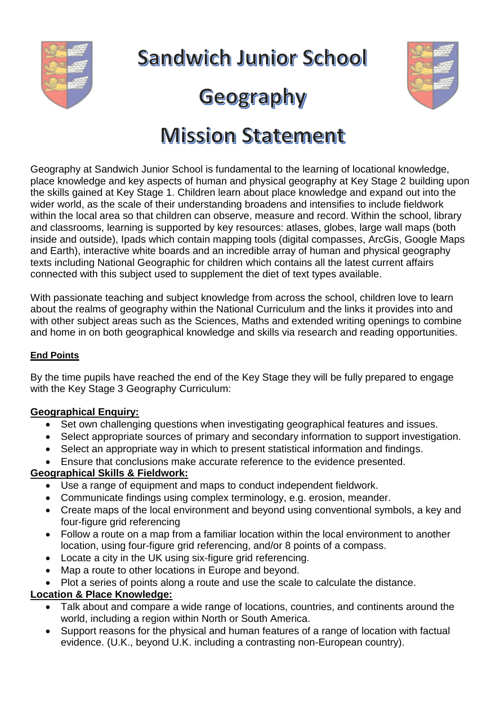

**Sandwich Junior School** 

# Geography



# **Mission Statement**

Geography at Sandwich Junior School is fundamental to the learning of locational knowledge, place knowledge and key aspects of human and physical geography at Key Stage 2 building upon the skills gained at Key Stage 1. Children learn about place knowledge and expand out into the wider world, as the scale of their understanding broadens and intensifies to include fieldwork within the local area so that children can observe, measure and record. Within the school, library and classrooms, learning is supported by key resources: atlases, globes, large wall maps (both inside and outside), Ipads which contain mapping tools (digital compasses, ArcGis, Google Maps and Earth), interactive white boards and an incredible array of human and physical geography texts including National Geographic for children which contains all the latest current affairs connected with this subject used to supplement the diet of text types available.

With passionate teaching and subject knowledge from across the school, children love to learn about the realms of geography within the National Curriculum and the links it provides into and with other subject areas such as the Sciences. Maths and extended writing openings to combine and home in on both geographical knowledge and skills via research and reading opportunities.

#### **End Points**

By the time pupils have reached the end of the Key Stage they will be fully prepared to engage with the Key Stage 3 Geography Curriculum:

# **Geographical Enquiry:**

- Set own challenging questions when investigating geographical features and issues.
- Select appropriate sources of primary and secondary information to support investigation.
- Select an appropriate way in which to present statistical information and findings.
- Ensure that conclusions make accurate reference to the evidence presented.

# **Geographical Skills & Fieldwork:**

- Use a range of equipment and maps to conduct independent fieldwork.
- Communicate findings using complex terminology, e.g. erosion, meander.
- Create maps of the local environment and beyond using conventional symbols, a key and four-figure grid referencing
- Follow a route on a map from a familiar location within the local environment to another location, using four-figure grid referencing, and/or 8 points of a compass.
- Locate a city in the UK using six-figure grid referencing.
- Map a route to other locations in Europe and beyond.
- Plot a series of points along a route and use the scale to calculate the distance.

# **Location & Place Knowledge:**

- $\overline{\phantom{a}}$  Talk about and compare a wide range of locations, countries, and continents around the world, including a region within North or South America.
- Support reasons for the physical and human features of a range of location with factual evidence. (U.K., beyond U.K. including a contrasting non-European country).